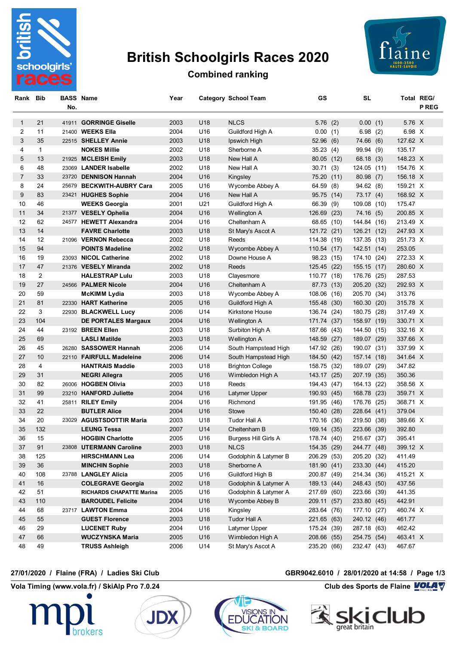

# **British Schoolgirls Races 2020**



## **Combined ranking**

| Rank Bib |              | <b>BASS Name</b><br>No. |                                 | Year |                 | Category School Team    | GS          |      | SL          |      | Total REG/ | <b>P REG</b> |
|----------|--------------|-------------------------|---------------------------------|------|-----------------|-------------------------|-------------|------|-------------|------|------------|--------------|
| 1        | 21           |                         | 41911 GORRINGE Giselle          | 2003 | U18             | <b>NLCS</b>             | 5.76(2)     |      | 0.00(1)     |      | 5.76 X     |              |
| 2        | 11           |                         | 21400 WEEKS Ella                | 2004 | U16             | Guildford High A        | 0.00(1)     |      | 6.98        | (2)  | 6.98 X     |              |
| 3        | 35           |                         | 22515 SHELLEY Annie             | 2003 | U18             | Ipswich High            | 52.96(6)    |      | 74.66 (6)   |      | 127.62 X   |              |
| 4        | $\mathbf{1}$ |                         | <b>NOKES Millie</b>             | 2002 | U18             | Sherborne A             | 35.23(4)    |      | 99.94 (9)   |      | 135.17     |              |
| 5        | 13           |                         | 21925 MCLEISH Emily             | 2003 | U18             | New Hall A              | 80.05 (12)  |      | 68.18(3)    |      | 148.23 X   |              |
| 6        | 48           |                         | 23069 LANDER Isabelle           | 2002 | U18             | New Hall A              | 30.71(3)    |      | 124.05 (11) |      | 154.76 X   |              |
| 7        | 33           |                         | 23720 DENNISON Hannah           | 2004 | U16             | Kingsley                | 75.20 (11)  |      | 80.98(7)    |      | 156.18 X   |              |
| 8        | 24           |                         | 25679 BECKWITH-AUBRY Cara       | 2005 | U16             | Wycombe Abbey A         | 64.59 (8)   |      | 94.62(8)    |      | 159.21 X   |              |
| 9        | 83           |                         | 23421 HUGHES Sophie             | 2004 | U16             | New Hall A              | 95.75 (14)  |      | 73.17(4)    |      | 168.92 X   |              |
| 10       | 46           |                         | <b>WEEKS Georgia</b>            | 2001 | U21             | Guildford High A        | 66.39 (9)   |      | 109.08 (10) |      | 175.47     |              |
| 11       | 34           |                         | 21377 VESELY Ophelia            | 2004 | U16             | Wellington A            | 126.69      | (23) | 74.16(5)    |      | 200.85 X   |              |
| 12       | 62           |                         | 24577 HEWETT Alexandra          | 2004 | U16             | Cheltenham A            | 68.65 (10)  |      | 144.84 (16) |      | 213.49 X   |              |
| 13       | 14           |                         | <b>FAVRE Charlotte</b>          | 2003 | U18             | St Mary's Ascot A       | 121.72 (21) |      | 126.21 (12) |      | 247.93 X   |              |
| 14       | 12           |                         | 21096 VERNON Rebecca            | 2002 | U18             | Reeds                   | 114.38 (19) |      | 137.35 (13) |      | 251.73 X   |              |
| 15       | 94           |                         | <b>POINTS Madeline</b>          | 2002 | U18             | Wycombe Abbey A         | 110.54 (17) |      | 142.51 (14) |      | 253.05     |              |
| 16       | 19           |                         | 23093 NICOL Catherine           | 2002 | U18             | Downe House A           | 98.23 (15)  |      | 174.10 (24) |      | 272.33 X   |              |
| 17       | 47           |                         | 21376 VESELY Miranda            | 2002 | U18             | Reeds                   | 125.45 (22) |      | 155.15 (17) |      | 280.60 X   |              |
| 18       | 2            |                         | <b>HALESTRAP Lulu</b>           | 2003 | U18             | Clayesmore              | 110.77 (18) |      | 176.76 (25) |      | 287.53     |              |
| 19       | 27           |                         | 24566 PALMER Nicole             | 2004 | U16             | Cheltenham A            | 87.73 (13)  |      | 205.20 (32) |      | 292.93 X   |              |
| 20       | 59           |                         | <b>McKIMM Lydia</b>             | 2003 | U18             | Wycombe Abbey A         | 108.06      | (16) | 205.70 (34) |      | 313.76     |              |
| 21       | 81           |                         | 22330 HART Katherine            | 2005 | U <sub>16</sub> | Guildford High A        | 155.48      | (30) | 160.30      | (20) | 315.78 X   |              |
| 22       | 3            |                         | 22930 BLACKWELL Lucy            | 2006 | U14             | Kirkstone House         | 136.74      | (24) | 180.75 (28) |      | 317.49 X   |              |
| 23       | 104          |                         | DE PORTALES Margaux             | 2004 | U16             | Wellington A            | 171.74      | (37) | 158.97 (19) |      | 330.71 X   |              |
| 24       | 44           |                         | 23192 BREEN Ellen               | 2003 | U18             | Surbiton High A         | 187.66      | (43) | 144.50 (15) |      | 332.16 X   |              |
| 25       | 69           |                         | <b>LASLI Matilde</b>            | 2003 | U18             | Wellington A            | 148.59      | (27) | 189.07 (29) |      | 337.66 X   |              |
| 26       | 45           |                         | 26280 SASSOWER Hannah           | 2006 | U14             | South Hampstead High    | 147.92      | (26) | 190.07 (31) |      | 337.99 X   |              |
| 27       | 10           |                         | 22110 FAIRFULL Madeleine        | 2006 | U14             | South Hampstead High    | 184.50      | (42) | 157.14 (18) |      | 341.64 X   |              |
| 28       | 4            |                         | <b>HANTRAIS Maddie</b>          | 2003 | U18             | <b>Brighton College</b> | 158.75 (32) |      | 189.07 (29) |      | 347.82     |              |
| 29       | 31           |                         | <b>NEGRI Allegra</b>            | 2005 | U16             | Wimbledon High A        | 143.17 (25) |      | 207.19 (35) |      | 350.36     |              |
| 30       | 82           |                         | 26006 HOGBEN Olivia             | 2003 | U18             | Reeds                   | 194.43 (47) |      | 164.13 (22) |      | 358.56 X   |              |
| 31       | 99           |                         | 23210 HANFORD Juliette          | 2004 | U16             | Latymer Upper           | 190.93 (45) |      | 168.78 (23) |      | 359.71 X   |              |
| 32       | 41           |                         | 25811 RILEY Emily               | 2004 | U16             | Richmond                | 191.95 (46) |      | 176.76 (25) |      | 368.71 X   |              |
| 33       | 22           |                         | <b>BUTLER Alice</b>             | 2004 | U16             | <b>Stowe</b>            | 150.40      | (28) | 228.64 (41) |      | 379.04     |              |
| 34       | 20           |                         | 23029 AGUSTSDOTTIR Maria        | 2003 | U18             | Tudor Hall A            | 170.16      | (36) | 219.50      | (38) | 389.66 X   |              |
| 35       | 132          |                         | <b>LEUNG Tessa</b>              | 2007 | U14             | Cheltenham B            | 169.14 (35) |      | 223.66 (39) |      | 392.80     |              |
| 36       | 15           |                         | <b>HOGBIN Charlotte</b>         | 2005 | U16             | Burgess Hill Girls A    | 178.74 (40) |      | 216.67 (37) |      | 395.41     |              |
| 37       | 91           |                         | 23808 UTERMANN Caroline         | 2003 | U18             | <b>NLCS</b>             | 154.35 (29) |      | 244.77 (48) |      | 399.12 X   |              |
| 38       | 125          |                         | <b>HIRSCHMANN Lea</b>           | 2006 | U14             | Godolphin & Latymer B   | 206.29 (53) |      | 205.20 (32) |      | 411.49     |              |
| 39       | 36           |                         | <b>MINCHIN Sophie</b>           | 2003 | U18             | Sherborne A             | 181.90 (41) |      | 233.30 (44) |      | 415.20     |              |
| 40       | 108          |                         | 23788 LANGLEY Alicia            | 2005 | U16             | Guildford High B        | 200.87 (49) |      | 214.34 (36) |      | 415.21 X   |              |
| 41       | 16           |                         | <b>COLEGRAVE Georgia</b>        | 2002 | U18             | Godolphin & Latymer A   | 189.13 (44) |      | 248.43 (50) |      | 437.56     |              |
| 42       | 51           |                         | <b>RICHARDS CHAPATTE Marina</b> | 2005 | U16             | Godolphin & Latymer A   | 217.69 (60) |      | 223.66 (39) |      | 441.35     |              |
| 43       | 110          |                         | <b>BAROUDEL Felicite</b>        | 2004 | U16             | Wycombe Abbey B         | 209.11 (57) |      | 233.80 (45) |      | 442.91     |              |
| 44       | 68           |                         | 23717 LAWTON Emma               | 2004 | U16             | Kingsley                | 283.64 (76) |      | 177.10 (27) |      | 460.74 X   |              |
| 45       | 55           |                         | <b>GUEST Florence</b>           | 2003 | U18             | Tudor Hall A            | 221.65 (63) |      | 240.12 (46) |      | 461.77     |              |
| 46       | 29           |                         | <b>LUCENET Ruby</b>             | 2004 | U16             | Latymer Upper           | 175.24 (39) |      | 287.18 (63) |      | 462.42     |              |
| 47       | 66           |                         | <b>WUCZYNSKA Maria</b>          | 2005 | U16             | Wimbledon High A        | 208.66 (55) |      | 254.75 (54) |      | 463.41 X   |              |
| 48       | 49           |                         | <b>TRUSS Ashleigh</b>           | 2006 | U14             | St Mary's Ascot A       | 235.20 (66) |      | 232.47 (43) |      | 467.67     |              |

### **27/01/2020 / Flaine (FRA) / Ladies Ski Club GBR9042.6010 / 28/01/2020 at 14:58 / Page 1/3**

**Vola Timing (www.vola.fr) / SkiAlp Pro 7.0.24 Club des Sports de Flaine VOLA V** 







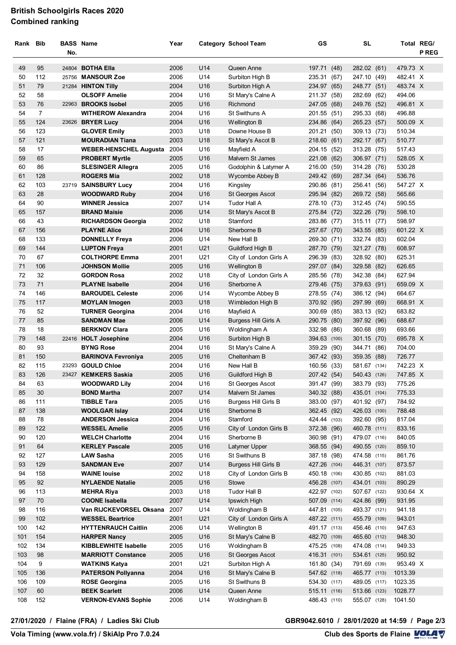### **British Schoolgirls Races 2020 Combined ranking**

| Rank Bib |                |     | <b>BASS Name</b>                               | Year         |                 | <b>Category School Team</b> | GS                    |      | <b>SL</b>              |      | Total REG/       |              |
|----------|----------------|-----|------------------------------------------------|--------------|-----------------|-----------------------------|-----------------------|------|------------------------|------|------------------|--------------|
|          |                | No. |                                                |              |                 |                             |                       |      |                        |      |                  | <b>P REG</b> |
| 49       | 95             |     | 24804 <b>BOTHA Ella</b>                        | 2006         | U14             | Queen Anne                  | 197.71                | (48) | 282.02 (61)            |      | 479.73 X         |              |
| 50       | 112            |     | 25756 MANSOUR Zoe                              | 2006         | U14             | Surbiton High B             | 235.31 (67)           |      | 247.10 (49)            |      | 482.41 X         |              |
| 51       | 79             |     | 21284 HINTON Tilly                             | 2004         | U16             | Surbiton High A             | 234.97                | (65) | 248.77 (51)            |      | 483.74 X         |              |
| 52       | 58             |     | <b>OLSOFF Amelie</b>                           | 2004         | U16             | St Mary's Calne A           | 211.37 (58)           |      | 282.69 (62)            |      | 494.06           |              |
| 53       | 76             |     | 22963 BROOKS Isobel                            | 2005         | U16             | Richmond                    | 247.05                | (68) | 249.76                 | (52) | 496.81 X         |              |
| 54       | $\overline{7}$ |     | <b>WITHEROW Alexandra</b>                      | 2004         | U16             | St Swithuns A               | 201.55 (51)           |      | 295.33 (68)            |      | 496.88           |              |
| 55       | 124            |     | 23626 BRYER Lucy                               | 2004         | U16             | Wellington B                | 234.86 (64)           |      | 265.23 (57)            |      | 500.09 X         |              |
| 56       | 123            |     | <b>GLOVER Emily</b>                            | 2003         | U18             | Downe House B               | 201.21 (50)           |      | 309.13 (73)            |      | 510.34           |              |
| 57       | 121            |     | <b>MOURADIAN Tiana</b>                         | 2003         | U18             | St Mary's Ascot B           | 218.60                | (61) | 292.17 (67)            |      | 510.77           |              |
| 58       | 17             |     | <b>WEBER-HENSCHEL Augusta</b>                  | 2004         | U16             | Mayfield A                  | 204.15 (52)           |      | 313.28 (75)            |      | 517.43           |              |
| 59       | 65             |     | <b>PROBERT Myrtle</b>                          | 2005         | U16             | Malvern St James            | 221.08 (62)           |      | 306.97 (71)            |      | 528.05 X         |              |
| 60       | 86             |     | <b>SLESINGER Allegra</b>                       | 2005         | U16             | Godolphin & Latymer A       | 216.00 (59)           |      | 314.28 (76)            |      | 530.28           |              |
| 61       | 128            |     | <b>ROGERS Mia</b>                              | 2002         | U18             | Wycombe Abbey B             | 249.42 (69)           |      | 287.34 (64)            |      | 536.76           |              |
| 62       | 103            |     | 23719 SAINSBURY Lucy                           | 2004         | U16             | Kingsley                    | 290.86 (81)           |      | 256.41 (56)            |      | 547.27 X         |              |
| 63       | 28             |     | <b>WOODWARD Ruby</b>                           | 2004         | U16             | St Georges Ascot            | 295.94 (82)           |      | 269.72 (58)            |      | 565.66           |              |
| 64       | 90             |     | <b>WINNER Jessica</b>                          | 2007         | U14             | Tudor Hall A                | 278.10 (73)           |      | 312.45 (74)            |      | 590.55           |              |
| 65       | 157            |     | <b>BRAND Maisie</b>                            | 2006         | U14             | St Mary's Ascot B           | 275.84 (72)           |      | 322.26 (79)            |      | 598.10           |              |
| 66       | 43             |     | <b>RICHARDSON Georgia</b>                      | 2002         | U18             | Stamford                    | 283.86 (77)           |      | 315.11 (77)            |      | 598.97           |              |
| 67       | 156            |     | <b>PLAYNE Alice</b>                            | 2004         | U <sub>16</sub> | Sherborne B                 | 257.67                | (70) | 343.55 (85)            |      | 601.22 X         |              |
| 68       | 133            |     | <b>DONNELLY Freya</b>                          | 2006         | U14             | New Hall B                  | 269.30                | (71) | 332.74 (83)            |      | 602.04           |              |
| 69       | 144            |     | <b>LUPTON Freya</b>                            | 2001         | U21             | Guildford High B            | 287.70                | (79) | 321.27 (78)            |      | 608.97           |              |
| 70       | 67             |     | <b>COLTHORPE Emma</b>                          | 2001         | U21             | City of London Girls A      | 296.39                | (83) | 328.92 (80)            |      | 625.31           |              |
| 71       | 106            |     | <b>JOHNSON Mollie</b>                          | 2005         | U16             | Wellington B                | 297.07                | (84) | 329.58 (82)            |      | 626.65           |              |
| 72       | 32             |     | <b>GORDON Rosa</b>                             | 2002         | U18             | City of London Girls A      | 285.56                | (78) | 342.38 (84)            |      | 627.94           |              |
| 73       | 71             |     | <b>PLAYNE Isabelle</b>                         | 2004         | U16             | Sherborne A                 | 279.46 (75)           |      | 379.63 (91)            |      | 659.09 X         |              |
| 74       | 146            |     | <b>BAROUDEL Celeste</b>                        | 2006         | U14             | Wycombe Abbey B             | 278.55 (74)           |      | 386.12 (94)            |      | 664.67           |              |
| 75       | 117            |     | <b>MOYLAN Imogen</b>                           | 2003         | U18             | Wimbledon High B            | 370.92 (95)           |      | 297.99 (69)            |      | 668.91 X         |              |
| 76       | 52             |     | <b>TURNER Georgina</b>                         | 2004         | U16             | Mayfield A                  | 300.69 (85)           |      | 383.13 (92)            |      | 683.82           |              |
| 77       | 85             |     | <b>SANDMAN Mae</b>                             | 2006         | U14             | <b>Burgess Hill Girls A</b> | 290.75 (80)           |      | 397.92 (96)            |      | 688.67           |              |
| 78       | 18             |     | <b>BERKNOV Clara</b>                           | 2005         | U16             | Woldingham A                | 332.98 (86)           |      | 360.68 (89)            |      | 693.66           |              |
| 79       | 148            |     | 22416 HOLT Josephine                           | 2004         | U16             | Surbiton High B             | 394.63 (100)          |      | 301.15 (70)            |      | 695.78 X         |              |
| 80<br>81 | 93<br>150      |     | <b>BYNG Rose</b>                               | 2004         | U16<br>U16      | St Mary's Calne A           | 359.29 (90)           |      | 344.71                 | (86) | 704.00<br>726.77 |              |
| 82       | 115            |     | <b>BARINOVA Fevroniya</b><br>23293 GOULD Chloe | 2005<br>2004 | U16             | Cheltenham B<br>New Hall B  | 367.42                | (93) | 359.35<br>581.67 (134) | (88) | 742.23 X         |              |
| 83       | 126            |     | 23427 KEMKERS Saskia                           | 2005         | U16             | Guildford High B            | 160.56<br>207.42 (54) | (33) | 540.43 (126)           |      | 747.85 X         |              |
| 84       | 63             |     | <b>WOODWARD Lily</b>                           | 2004         | U16             | St Georges Ascot            | 391.47 (99)           |      | 383.79 (93)            |      | 775.26           |              |
| 85       | 30             |     | <b>BOND Martha</b>                             | 2007         | U14             | Malvern St James            | 340.32 (88)           |      | 435.01 (104)           |      | 775.33           |              |
| 86       | 111            |     | <b>TIBBLE Tara</b>                             | 2005         | U16             | <b>Burgess Hill Girls B</b> | 383.00 (97)           |      | 401.92 (97)            |      | 784.92           |              |
| 87       | 138            |     | <b>WOOLGAR Islay</b>                           | 2004         | U16             | Sherborne B                 | 362.45 (92)           |      | 426.03 (100)           |      | 788.48           |              |
| 88       | 78             |     | <b>ANDERSON Jessica</b>                        | 2004         | U16             | Stamford                    | 424.44 (103)          |      | 392.60 (95)            |      | 817.04           |              |
| 89       | 122            |     | <b>WESSEL Amelie</b>                           | 2005         | U16             | City of London Girls B      | 372.38 (96)           |      | 460.78 (111)           |      | 833.16           |              |
| 90       | 120            |     | <b>WELCH Charlotte</b>                         | 2004         | U16             | Sherborne B                 | 360.98 (91)           |      | 479.07 (116)           |      | 840.05           |              |
| 91       | 64             |     | <b>KERLEY Pascale</b>                          | 2005         | U16             | Latymer Upper               | 368.55 (94)           |      | 490.55 (120)           |      | 859.10           |              |
| 92       | 127            |     | <b>LAW Sasha</b>                               | 2005         | U16             | St Swithuns B               | 387.18 (98)           |      | 474.58 (115)           |      | 861.76           |              |
| 93       | 129            |     | <b>SANDMAN Eve</b>                             | 2007         | U14             | <b>Burgess Hill Girls B</b> | 427.26 (104)          |      | 446.31 (107)           |      | 873.57           |              |
| 94       | 158            |     | <b>WAINE louise</b>                            | 2002         | U18             | City of London Girls B      | 450.18 (106)          |      | 430.85 (102)           |      | 881.03           |              |
| 95       | 92             |     | <b>NYLAENDE Natalie</b>                        | 2005         | U16             | Stowe                       | 456.28 (107)          |      | 434.01 (103)           |      | 890.29           |              |
| 96       | 113            |     | <b>MEHRA Riya</b>                              | 2003         | U18             | Tudor Hall B                | 422.97 (102)          |      | 507.67 (122)           |      | 930.64 X         |              |
| 97       | 70             |     | <b>COONE Isabella</b>                          | 2007         | U14             | Ipswich High                | 507.09 (114)          |      | 424.86 (99)            |      | 931.95           |              |
| 98       | 116            |     | Van RIJCKEVORSEL Oksana                        | 2007         | U14             | Woldingham B                | 447.81 (105)          |      | 493.37 (121)           |      | 941.18           |              |
| 99       | 102            |     | <b>WESSEL Beartrice</b>                        | 2001         | U21             | City of London Girls A      | 487.22 (111)          |      | 455.79 (109)           |      | 943.01           |              |
| 100      | 142            |     | <b>HYTTENRAUCH Caitlin</b>                     | 2006         | U14             | Wellington B                | 491.17 (113)          |      | 456.46 (110)           |      | 947.63           |              |
| 101      | 154            |     | <b>HARPER Nancy</b>                            | 2005         | U16             | St Mary's Calne B           | 482.70 (109)          |      | 465.60 (112)           |      | 948.30           |              |
| 102      | 134            |     | <b>KIBBLEWHITE Isabelle</b>                    | 2005         | U16             | Woldingham B                | 475.25 (108)          |      | 474.08 (114)           |      | 949.33           |              |
| 103      | 98             |     | <b>MARRIOTT Constance</b>                      | 2005         | U16             | St Georges Ascot            | 416.31 (101)          |      | 534.61 (125)           |      | 950.92           |              |
| 104      | 9              |     | <b>WATKINS Katya</b>                           | 2001         | U21             | Surbiton High A             | 161.80 (34)           |      | 791.69 (139)           |      | 953.49 X         |              |
| 105      | 136            |     | <b>PATERSON Pollyanna</b>                      | 2004         | U16             | St Mary's Calne B           | 547.62 (118)          |      | 465.77 (113)           |      | 1013.39          |              |
| 106      | 109            |     | <b>ROSE Georgina</b>                           | 2005         | U16             | St Swithuns B               | 534.30 (117)          |      | 489.05 (117)           |      | 1023.35          |              |
| 107      | 60             |     | <b>BEEK Scarlett</b>                           | 2006         | U14             | Queen Anne                  | 515.11 (116)          |      | 513.66 (123)           |      | 1028.77          |              |
| 108      | 152            |     | <b>VERNON-EVANS Sophie</b>                     | 2006         | U14             | Woldingham B                | 486.43 (110)          |      | 555.07 (128)           |      | 1041.50          |              |

### **VolaSoftControlPdf 27/01/2020 / Flaine (FRA) / Ladies Ski Club GBR9042.6010 / 28/01/2020 at 14:59 / Page 2/3**